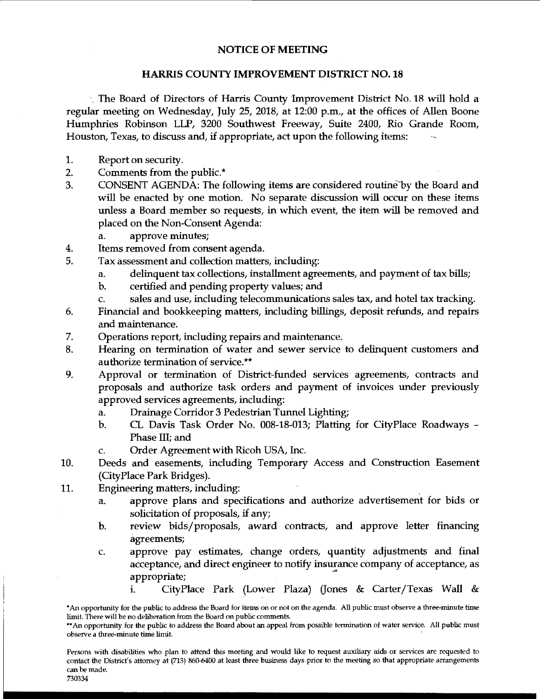## NOTICE OF MEETING

## HARRIS COUNTY IMPROVEMENT DISTRICT NO. 18

·. The Board of Directors of Harris County Improvement District No. 18 will hold a regular meeting on Wednesday, July 25, 2018, at 12:00 p.m., at the offices of Allen Boone Humphries Robinson LLP, 3200 Southwest Freeway, Suite 2400, Rio Grande Room, Houston, Texas, to discuss and, if appropriate, act upon the following items:

- 1. Report on security.
- 2. Comments from the public.\*
- 3. CONSENT AGENDA: The following items are considered routine by the Board and will be enacted by one motion. No separate discussion will occur on these items unless a Board member so requests, in which event, the item will be removed and placed on the Non-Consent Agenda:
	- a. approve minutes;
- 4. Items removed from consent agenda.
- 5. Tax assessment and collection matters, including:
	- a. delinquent tax collections, installment agreements, and payment of tax bills;
	- b. certified and pending property values; and
	- c. sales and use, including telecommunications sales tax, and hotel tax tracking.
- 6. Financial and bookkeeping matters, including billings, deposit refunds, and repairs and maintenance.
- 7. Operations report, including repairs and maintenance.
- 8. Hearing on termination of water and sewer service to delinquent customers and authorize termination of service.\*\*
- 9. Approval or termination of District-funded services agreements, contracts and proposals and authorize task orders and payment of invoices under previously approved services agreements, including:
	- a. Drainage Corridor 3 Pedestrian Tunnel Lighting;
	- b. CL Davis Task Order No. 008-18-013; Platting for CityPlace Roadways Phase III; and
	- c. Order Agreement with Ricoh USA, Inc.
- 10. Deeds and easements, including Temporary Access and Construction Easement (CityPlace Park Bridges).
- 11. Engineering matters, including:
	- a. approve plans and specifications and authorize advertisement for bids or solicitation of proposals, if any;
	- b. review bids/ proposals, award contracts, and approve letter financing agreements;
	- c. approve pay estimates, change orders, quantity adjustments and final acceptance, and direct engineer to notify insurance company of acceptance, as appropriate;
		- i. CityPlace Park (Lower Plaza) (Jones & Carter/Texas Wall &

Persons with disabilities who plan to attend this meeting and would like to request auxiliary aids or services are requested to contact the District's attorney at (713) 860-6400 at least three business days prior to the meeting so that appropriate arrangements can be made.

730334

<sup>\*</sup>An opportunity for the public to address the Board for items on or not on the agenda. All public must observe a three-minute time limit. There will be no deliberation from the Board on public comments.

<sup>\*\*</sup> An opportunity for the public to address the Board about an appeal from possible termination of water service. All public must observe a three-minute time limit.